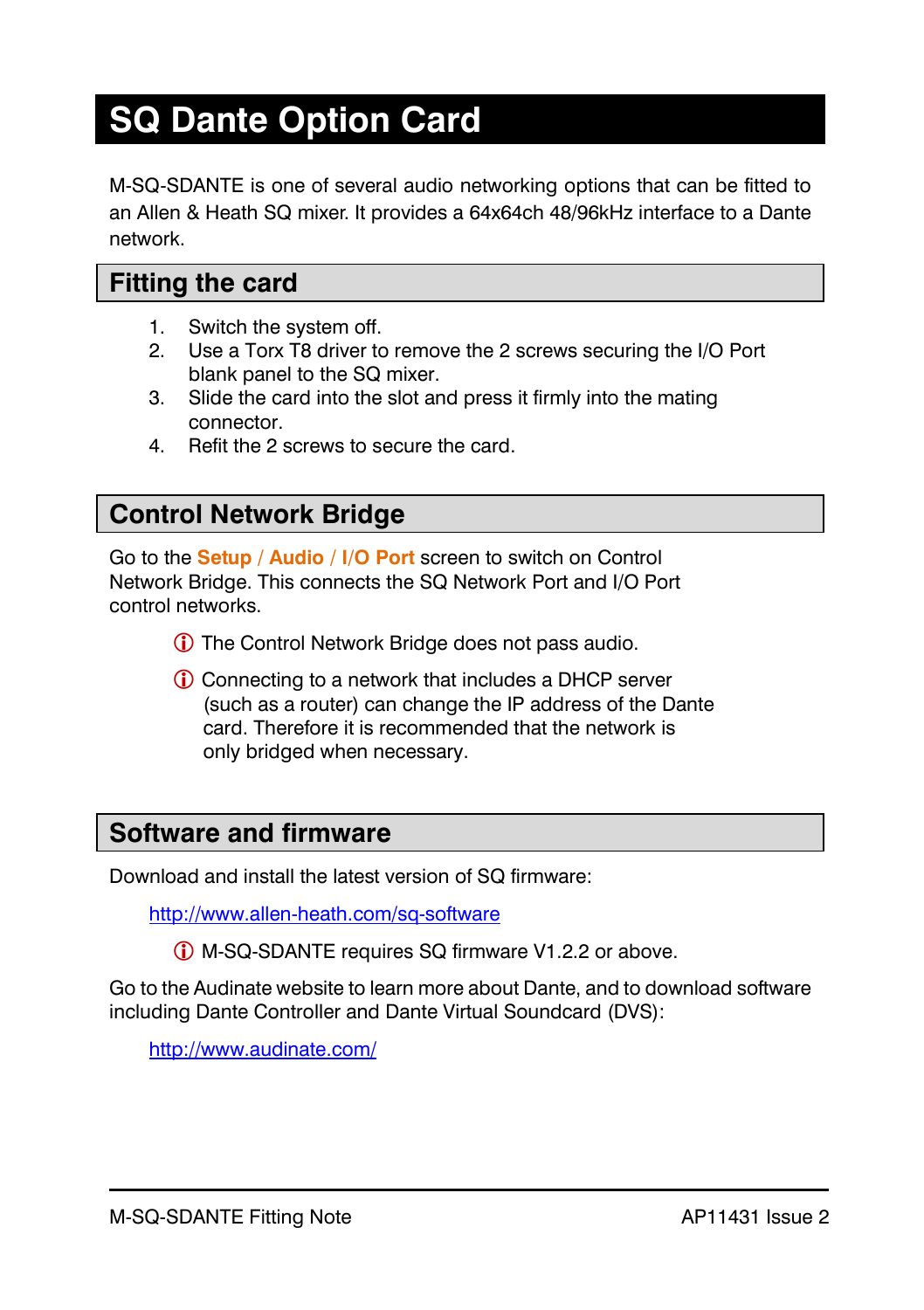# **SQ Dante Option Card**

M-SQ-SDANTE is one of several audio networking options that can be fitted to an Allen & Heath SQ mixer. It provides a 64x64ch 48/96kHz interface to a Dante network.

#### **Fitting the card**

- 1. Switch the system off.
- 2. Use a Torx T8 driver to remove the 2 screws securing the I/O Port blank panel to the SQ mixer.
- 3. Slide the card into the slot and press it firmly into the mating connector.
- 4. Refit the 2 screws to secure the card.

### **Control Network Bridge**

Go to the **Setup / Audio / I/O Port** screen to switch on Control Network Bridge. This connects the SQ Network Port and I/O Port control networks.

- The Control Network Bridge does not pass audio.
- Connecting to a network that includes a DHCP server (such as a router) can change the IP address of the Dante card. Therefore it is recommended that the network is only bridged when necessary.

### **Software and firmware**

Download and install the latest version of SQ firmware:

<http://www.allen-heath.com/sq-software>

M-SQ-SDANTE requires SQ firmware V1.2.2 or above.

Go to the Audinate website to learn more about Dante, and to download software including Dante Controller and Dante Virtual Soundcard (DVS):

<http://www.audinate.com/>